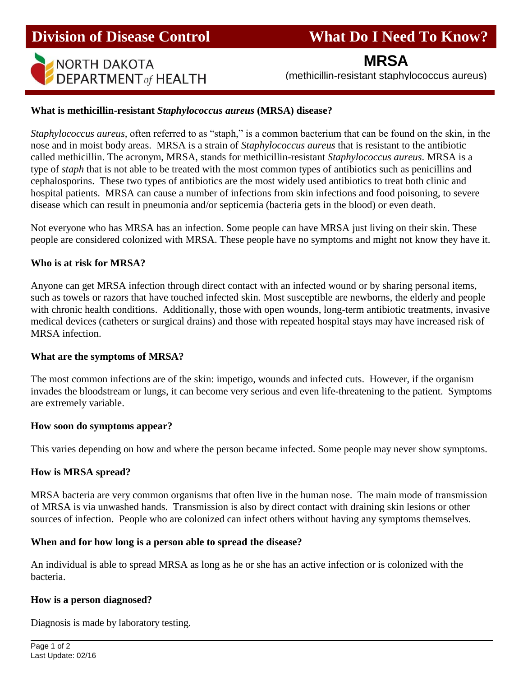**Division of Disease Control What Do I Need To Know?** 



**MRSA**

## **What is methicillin-resistant** *Staphylococcus aureus* **(MRSA) disease?**

*Staphylococcus aureus,* often referred to as "staph," is a common bacterium that can be found on the skin, in the nose and in moist body areas. MRSA is a strain of *Staphylococcus aureus* that is resistant to the antibiotic called methicillin. The acronym, MRSA, stands for methicillin-resistant *Staphylococcus aureus*. MRSA is a type of *staph* that is not able to be treated with the most common types of antibiotics such as penicillins and cephalosporins. These two types of antibiotics are the most widely used antibiotics to treat both clinic and hospital patients. MRSA can cause a number of infections from skin infections and food poisoning, to severe disease which can result in pneumonia and/or septicemia (bacteria gets in the blood) or even death.

Not everyone who has MRSA has an infection. Some people can have MRSA just living on their skin. These people are considered colonized with MRSA. These people have no symptoms and might not know they have it.

### **Who is at risk for MRSA?**

I

Anyone can get MRSA infection through direct contact with an infected wound or by sharing personal items, such as towels or razors that have touched infected skin. Most susceptible are newborns, the elderly and people with chronic health conditions. Additionally, those with open wounds, long-term antibiotic treatments, invasive medical devices (catheters or surgical drains) and those with repeated hospital stays may have increased risk of MRSA infection.

#### **What are the symptoms of MRSA?**

The most common infections are of the skin: impetigo, wounds and infected cuts. However, if the organism invades the bloodstream or lungs, it can become very serious and even life-threatening to the patient. Symptoms are extremely variable.

#### **How soon do symptoms appear?**

This varies depending on how and where the person became infected. Some people may never show symptoms.

# **How is MRSA spread?**

MRSA bacteria are very common organisms that often live in the human nose. The main mode of transmission of MRSA is via unwashed hands. Transmission is also by direct contact with draining skin lesions or other sources of infection. People who are colonized can infect others without having any symptoms themselves.

# **When and for how long is a person able to spread the disease?**

An individual is able to spread MRSA as long as he or she has an active infection or is colonized with the bacteria.

#### **How is a person diagnosed?**

Diagnosis is made by laboratory testing.